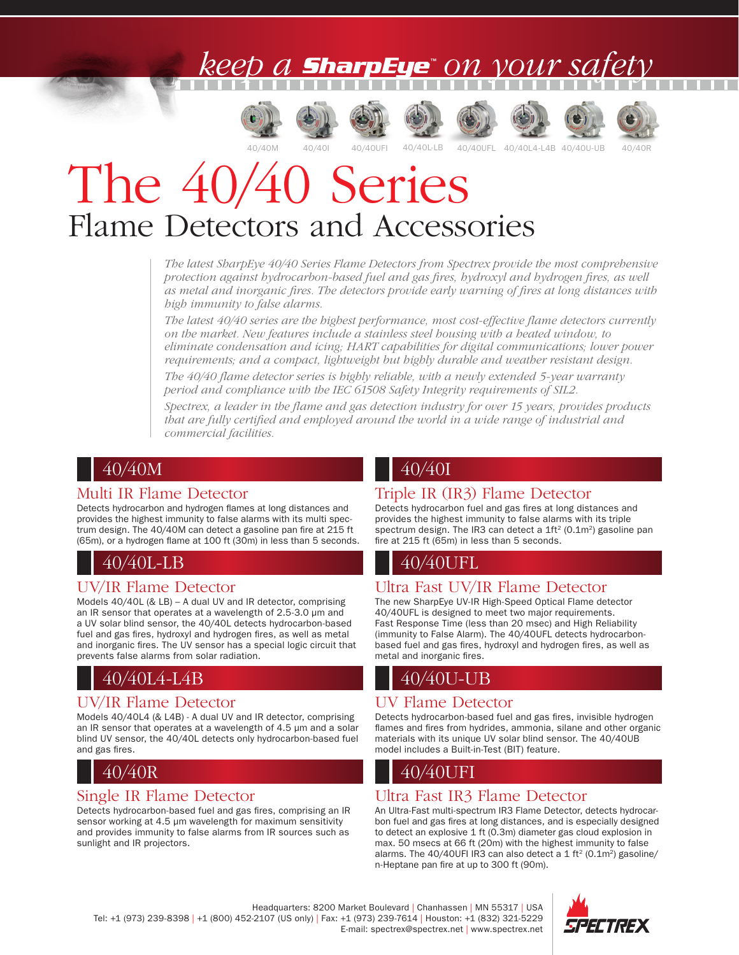## TM













# The 40/40 Series Flame Detectors and Accessories

*The latest SharpEye 40/40 Series Flame Detectors from Spectrex provide the most comprehensive protection against hydrocarbon-based fuel and gas fires, hydroxyl and hydrogen fires, as well as metal and inorganic fires. The detectors provide early warning of fires at long distances with high immunity to false alarms.* 

*The latest 40/40 series are the highest performance, most cost-effective flame detectors currently on the market. New features include a stainless steel housing with a heated window, to eliminate condensation and icing; HART capabilities for digital communications; lower power requirements; and a compact, lightweight but highly durable and weather resistant design.*

*The 40/40 flame detector series is highly reliable, with a newly extended 5-year warranty period and compliance with the IEC 61508 Safety Integrity requirements of SIL2.*

*Spectrex, a leader in the flame and gas detection industry for over 15 years, provides products that are fully certified and employed around the world in a wide range of industrial and commercial facilities.*

## 40/40M

#### Multi IR Flame Detector

Detects hydrocarbon and hydrogen flames at long distances and provides the highest immunity to false alarms with its multi spectrum design. The 40/40M can detect a gasoline pan fire at 215 ft (65m), or a hydrogen flame at 100 ft (30m) in less than 5 seconds.

## 40/40L-LB

## UV/IR Flame Detector

Models 40/40L (& LB) – A dual UV and IR detector, comprising an IR sensor that operates at a wavelength of 2.5-3.0 µm and a UV solar blind sensor, the 40/40L detects hydrocarbon-based fuel and gas fires, hydroxyl and hydrogen fires, as well as metal and inorganic fires. The UV sensor has a special logic circuit that prevents false alarms from solar radiation.

## 40/40L4-L4B

## UV/IR Flame Detector

Models 40/40L4 (& L4B) - A dual UV and IR detector, comprising an IR sensor that operates at a wavelength of 4.5 µm and a solar blind UV sensor, the 40/40L detects only hydrocarbon-based fuel and gas fires.

## 40/40R

#### Single IR Flame Detector

Detects hydrocarbon-based fuel and gas fires, comprising an IR sensor working at 4.5 µm wavelength for maximum sensitivity and provides immunity to false alarms from IR sources such as sunlight and IR projectors.

## 40/40I

## Triple IR (IR3) Flame Detector

Detects hydrocarbon fuel and gas fires at long distances and provides the highest immunity to false alarms with its triple spectrum design. The IR3 can detect a 1ft<sup>2</sup> (0.1m<sup>2</sup>) gasoline pan fire at 215 ft (65m) in less than 5 seconds.

## 40/40UFL

## Ultra Fast UV/IR Flame Detector

The new SharpEye UV-IR High-Speed Optical Flame detector 40/40UFL is designed to meet two major requirements. Fast Response Time (less than 20 msec) and High Reliability (immunity to False Alarm). The 40/40UFL detects hydrocarbonbased fuel and gas fires, hydroxyl and hydrogen fires, as well as metal and inorganic fires.

## 40/40U-UB

## UV Flame Detector

Detects hydrocarbon-based fuel and gas fires, invisible hydrogen flames and fires from hydrides, ammonia, silane and other organic materials with its unique UV solar blind sensor. The 40/40UB model includes a Built-in-Test (BIT) feature.

## 40/40I IFI

## Ultra Fast IR3 Flame Detector

An Ultra-Fast multi-spectrum IR3 Flame Detector, detects hydrocarbon fuel and gas fires at long distances, and is especially designed to detect an explosive 1 ft (0.3m) diameter gas cloud explosion in max. 50 msecs at 66 ft (20m) with the highest immunity to false alarms. The 40/40UFI IR3 can also detect a 1 ft<sup>2</sup> (0.1m<sup>2</sup>) gasoline/ n-Heptane pan fire at up to 300 ft (90m).